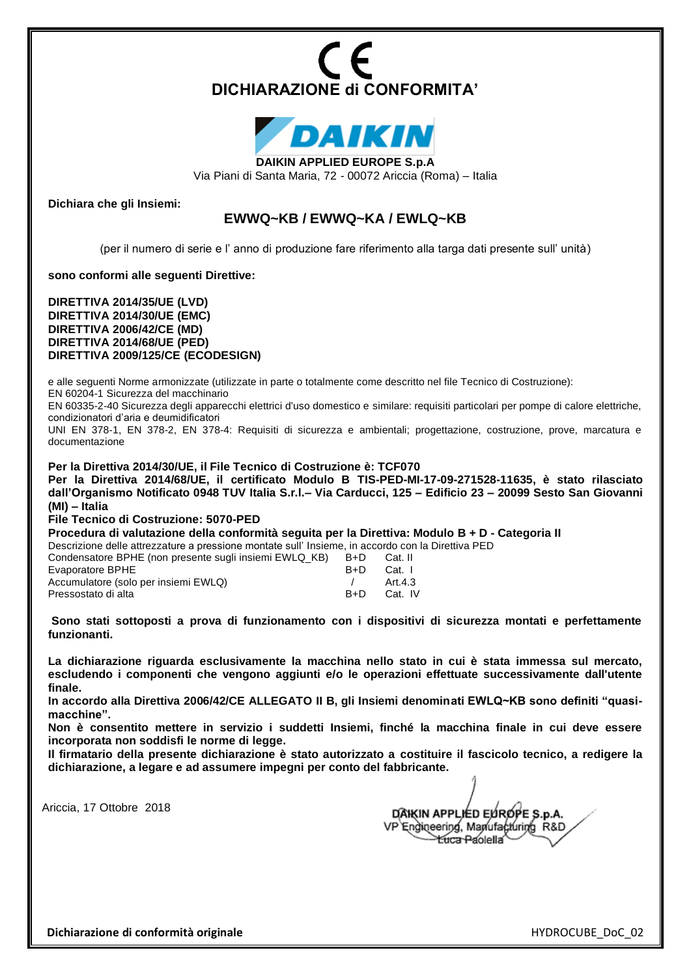



**DAIKIN APPLIED EUROPE S.p.A**

Via Piani di Santa Maria, 72 - 00072 Ariccia (Roma) – Italia

**Dichiara che gli Insiemi:** 

## **EWWQ~KB / EWWQ~KA / EWLQ~KB**

(per il numero di serie e l' anno di produzione fare riferimento alla targa dati presente sull' unità)

**sono conformi alle seguenti Direttive:** 

**DIRETTIVA 2014/35/UE (LVD) DIRETTIVA 2014/30/UE (EMC) DIRETTIVA 2006/42/CE (MD) DIRETTIVA 2014/68/UE (PED) DIRETTIVA 2009/125/CE (ECODESIGN)**

e alle seguenti Norme armonizzate (utilizzate in parte o totalmente come descritto nel file Tecnico di Costruzione): EN 60204-1 Sicurezza del macchinario

EN 60335-2-40 Sicurezza degli apparecchi elettrici d'uso domestico e similare: requisiti particolari per pompe di calore elettriche, condizionatori d'aria e deumidificatori

UNI EN 378-1, EN 378-2, EN 378-4: Requisiti di sicurezza e ambientali; progettazione, costruzione, prove, marcatura e documentazione

**Per la Direttiva 2014/30/UE, il File Tecnico di Costruzione è: TCF070**

**Per la Direttiva 2014/68/UE, il certificato Modulo B TIS-PED-MI-17-09-271528-11635, è stato rilasciato dall'Organismo Notificato 0948 TUV Italia S.r.l.– Via Carducci, 125 – Edificio 23 – 20099 Sesto San Giovanni (MI) – Italia** 

**File Tecnico di Costruzione: 5070-PED**

**Procedura di valutazione della conformità seguita per la Direttiva: Modulo B + D - Categoria II**

Descrizione delle attrezzature a pressione montate sull' Insieme, in accordo con la Direttiva PED

| Condensatore BPHE (non presente sugli insiemi EWLQ KB) | $B+D$ | Cat. II |
|--------------------------------------------------------|-------|---------|
| Evaporatore BPHE                                       | B+D.  | Cat. I  |
| Accumulatore (solo per insiemi EWLQ)                   |       | Art.4.3 |
| Pressostato di alta                                    | B+D   | Cat. IV |
|                                                        |       |         |

**Sono stati sottoposti a prova di funzionamento con i dispositivi di sicurezza montati e perfettamente funzionanti.**

**La dichiarazione riguarda esclusivamente la macchina nello stato in cui è stata immessa sul mercato, escludendo i componenti che vengono aggiunti e/o le operazioni effettuate successivamente dall'utente finale.**

**In accordo alla Direttiva 2006/42/CE ALLEGATO II B, gli Insiemi denominati EWLQ~KB sono definiti "quasimacchine".**

**Non è consentito mettere in servizio i suddetti Insiemi, finché la macchina finale in cui deve essere incorporata non soddisfi le norme di legge.**

**Il firmatario della presente dichiarazione è stato autorizzato a costituire il fascicolo tecnico, a redigere la dichiarazione, a legare e ad assumere impegni per conto del fabbricante.**

Ariccia, 17 Ottobre 2018

DÂIKIN APPLIED ELÍROPE S.D.A. VP Engineering, Manufacturing R&D **Euca Paolella** 

**Dichiarazione di conformità originale die alle conformità originale** die alle conformità originale die alle conformità originale die alle conformità originale die alle conformità originale die alle conformità originale